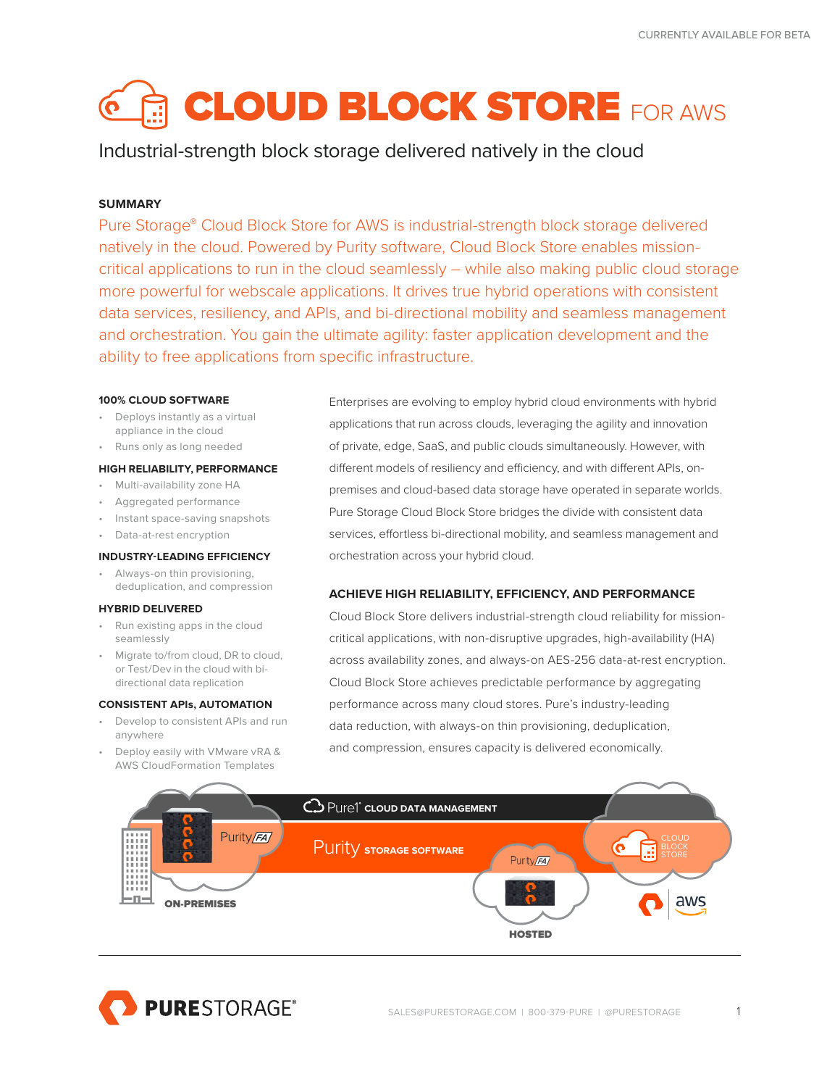# **GLOUD BLOCK STORE FOR AWS**

# Industrial-strength block storage delivered natively in the cloud

# **SUMMARY**

Pure Storage® Cloud Block Store for AWS is industrial-strength block storage delivered natively in the cloud. Powered by Purity software, Cloud Block Store enables missioncritical applications to run in the cloud seamlessly – while also making public cloud storage more powerful for webscale applications. It drives true hybrid operations with consistent data services, resiliency, and APIs, and bi-directional mobility and seamless management and orchestration. You gain the ultimate agility: faster application development and the ability to free applications from specific infrastructure.

# **100% CLOUD SOFTWARE**

- Deploys instantly as a virtual appliance in the cloud
- Runs only as long needed

# **HIGH RELIABILITY, PERFORMANCE**

- Multi-availability zone HA
- Aggregated performance
- Instant space-saving snapshots
- Data-at-rest encryption

# **INDUSTRY-LEADING EFFICIENCY**

• Always-on thin provisioning, deduplication, and compression

# **HYBRID DELIVERED**

- Run existing apps in the cloud seamlessly
- Migrate to/from cloud, DR to cloud, or Test/Dev in the cloud with bidirectional data replication

# **CONSISTENT APIs, AUTOMATION**

- Develop to consistent APIs and run anywhere
- Deploy easily with VMware vRA & AWS CloudFormation Templates

Enterprises are evolving to employ hybrid cloud environments with hybrid applications that run across clouds, leveraging the agility and innovation of private, edge, SaaS, and public clouds simultaneously. However, with different models of resiliency and efficiency, and with different APIs, onpremises and cloud-based data storage have operated in separate worlds. Pure Storage Cloud Block Store bridges the divide with consistent data services, effortless bi-directional mobility, and seamless management and orchestration across your hybrid cloud.

# **ACHIEVE HIGH RELIABILITY, EFFICIENCY, AND PERFORMANCE**

Cloud Block Store delivers industrial-strength cloud reliability for missioncritical applications, with non-disruptive upgrades, high-availability (HA) across availability zones, and always-on AES-256 data-at-rest encryption. Cloud Block Store achieves predictable performance by aggregating performance across many cloud stores. Pure's industry-leading data reduction, with always-on thin provisioning, deduplication, and compression, ensures capacity is delivered economically.



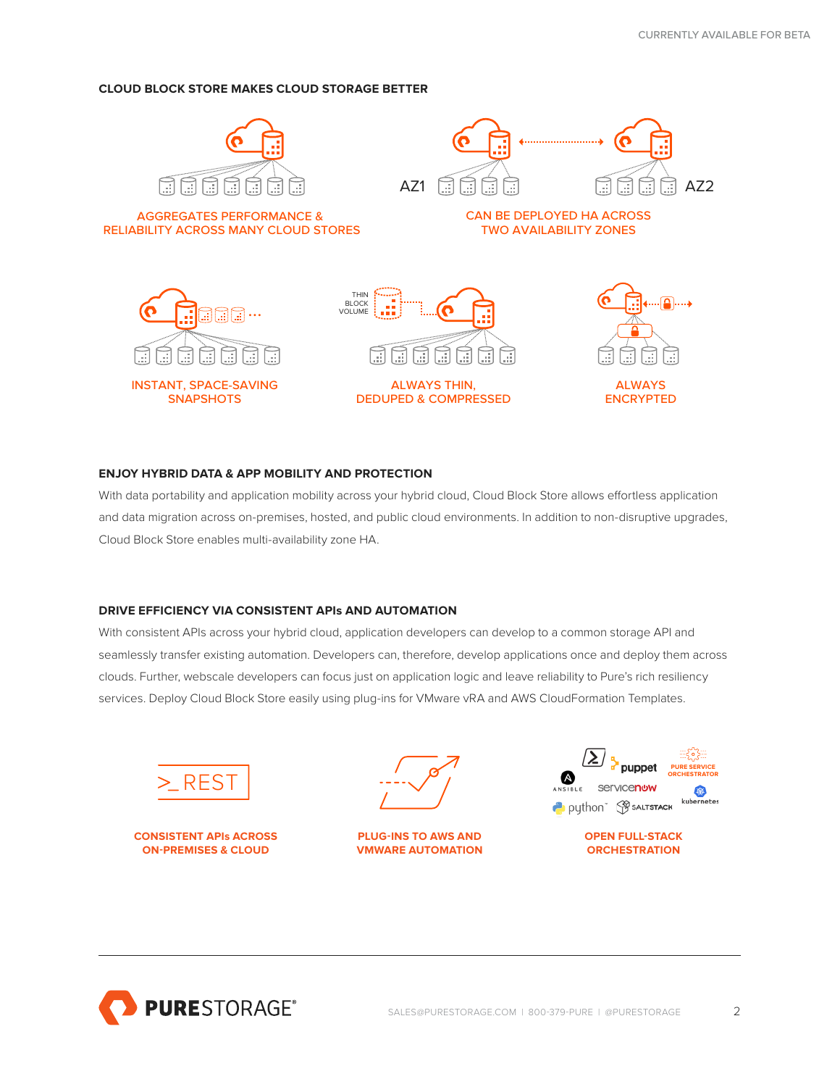# **CLOUD BLOCK STORE MAKES CLOUD STORAGE BETTER**



# **ENJOY HYBRID DATA & APP MOBILITY AND PROTECTION**

With data portability and application mobility across your hybrid cloud, Cloud Block Store allows effortless application and data migration across on-premises, hosted, and public cloud environments. In addition to non-disruptive upgrades, Cloud Block Store enables multi-availability zone HA.

# **DRIVE EFFICIENCY VIA CONSISTENT APIs AND AUTOMATION**

With consistent APIs across your hybrid cloud, application developers can develop to a common storage API and seamlessly transfer existing automation. Developers can, therefore, develop applications once and deploy them across clouds. Further, webscale developers can focus just on application logic and leave reliability to Pure's rich resiliency services. Deploy Cloud Block Store easily using plug-ins for VMware vRA and AWS CloudFormation Templates.



**CONSISTENT APIs ACROSS ON-PREMISES & CLOUD**



**PLUG-INS TO AWS AND VMWARE AUTOMATION**



**OPEN FULL-STACK ORCHESTRATION**